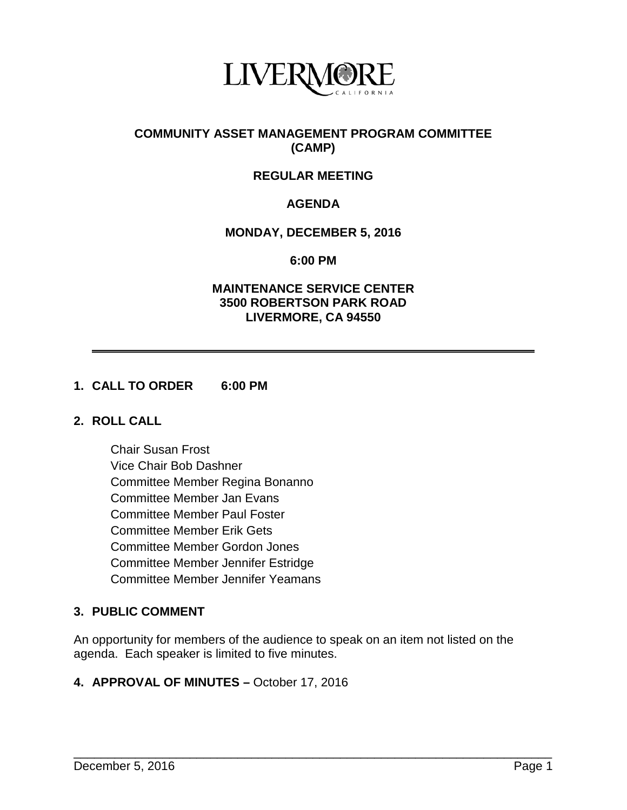

# **COMMUNITY ASSET MANAGEMENT PROGRAM COMMITTEE (CAMP)**

# **REGULAR MEETING**

# **AGENDA**

## **MONDAY, DECEMBER 5, 2016**

**6:00 PM**

### **MAINTENANCE SERVICE CENTER 3500 ROBERTSON PARK ROAD LIVERMORE, CA 94550**

## **1. CALL TO ORDER 6:00 PM**

### **2. ROLL CALL**

Chair Susan Frost Vice Chair Bob Dashner Committee Member Regina Bonanno Committee Member Jan Evans Committee Member Paul Foster Committee Member Erik Gets Committee Member Gordon Jones Committee Member Jennifer Estridge Committee Member Jennifer Yeamans

# **3. PUBLIC COMMENT**

An opportunity for members of the audience to speak on an item not listed on the agenda. Each speaker is limited to five minutes.

\_\_\_\_\_\_\_\_\_\_\_\_\_\_\_\_\_\_\_\_\_\_\_\_\_\_\_\_\_\_\_\_\_\_\_\_\_\_\_\_\_\_\_\_\_\_\_\_\_\_\_\_\_\_\_\_\_\_\_\_\_\_\_\_\_\_\_\_\_\_

### **4. APPROVAL OF MINUTES –** October 17, 2016